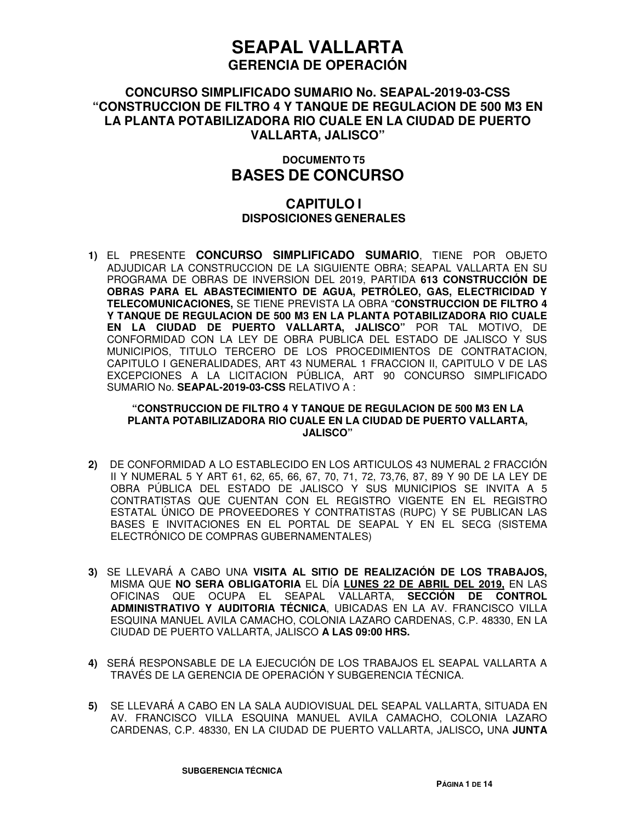## **CONCURSO SIMPLIFICADO SUMARIO No. SEAPAL-2019-03-CSS "CONSTRUCCION DE FILTRO 4 Y TANQUE DE REGULACION DE 500 M3 EN LA PLANTA POTABILIZADORA RIO CUALE EN LA CIUDAD DE PUERTO VALLARTA, JALISCO"**

## **DOCUMENTO T5 BASES DE CONCURSO**

## **CAPITULO I DISPOSICIONES GENERALES**

**1)** EL PRESENTE **CONCURSO SIMPLIFICADO SUMARIO**, TIENE POR OBJETO ADJUDICAR LA CONSTRUCCION DE LA SIGUIENTE OBRA; SEAPAL VALLARTA EN SU PROGRAMA DE OBRAS DE INVERSION DEL 2019, PARTIDA **613 CONSTRUCCIÓN DE OBRAS PARA EL ABASTECIMIENTO DE AGUA, PETRÓLEO, GAS, ELECTRICIDAD Y TELECOMUNICACIONES,** SE TIENE PREVISTA LA OBRA "**CONSTRUCCION DE FILTRO 4 Y TANQUE DE REGULACION DE 500 M3 EN LA PLANTA POTABILIZADORA RIO CUALE EN LA CIUDAD DE PUERTO VALLARTA, JALISCO"** POR TAL MOTIVO, DE CONFORMIDAD CON LA LEY DE OBRA PUBLICA DEL ESTADO DE JALISCO Y SUS MUNICIPIOS, TITULO TERCERO DE LOS PROCEDIMIENTOS DE CONTRATACION, CAPITULO I GENERALIDADES, ART 43 NUMERAL 1 FRACCION II, CAPITULO V DE LAS EXCEPCIONES A LA LICITACION PÚBLICA, ART 90 CONCURSO SIMPLIFICADO SUMARIO No. **SEAPAL-2019-03-CSS** RELATIVO A :

#### **"CONSTRUCCION DE FILTRO 4 Y TANQUE DE REGULACION DE 500 M3 EN LA PLANTA POTABILIZADORA RIO CUALE EN LA CIUDAD DE PUERTO VALLARTA, JALISCO"**

- **2)** DE CONFORMIDAD A LO ESTABLECIDO EN LOS ARTICULOS 43 NUMERAL 2 FRACCIÓN II Y NUMERAL 5 Y ART 61, 62, 65, 66, 67, 70, 71, 72, 73,76, 87, 89 Y 90 DE LA LEY DE OBRA PÚBLICA DEL ESTADO DE JALISCO Y SUS MUNICIPIOS SE INVITA A 5 CONTRATISTAS QUE CUENTAN CON EL REGISTRO VIGENTE EN EL REGISTRO ESTATAL ÚNICO DE PROVEEDORES Y CONTRATISTAS (RUPC) Y SE PUBLICAN LAS BASES E INVITACIONES EN EL PORTAL DE SEAPAL Y EN EL SECG (SISTEMA ELECTRÓNICO DE COMPRAS GUBERNAMENTALES)
- **3)** SE LLEVARÁ A CABO UNA **VISITA AL SITIO DE REALIZACIÓN DE LOS TRABAJOS,** MISMA QUE **NO SERA OBLIGATORIA** EL DÍA **LUNES 22 DE ABRIL DEL 2019,** EN LAS OFICINAS QUE OCUPA EL SEAPAL VALLARTA, **SECCIÓN DE CONTROL ADMINISTRATIVO Y AUDITORIA TÉCNICA**, UBICADAS EN LA AV. FRANCISCO VILLA ESQUINA MANUEL AVILA CAMACHO, COLONIA LAZARO CARDENAS, C.P. 48330, EN LA CIUDAD DE PUERTO VALLARTA, JALISCO **A LAS 09:00 HRS.**
- **4)** SERÁ RESPONSABLE DE LA EJECUCIÓN DE LOS TRABAJOS EL SEAPAL VALLARTA A TRAVÉS DE LA GERENCIA DE OPERACIÓN Y SUBGERENCIA TÉCNICA.
- **5)** SE LLEVARÁ A CABO EN LA SALA AUDIOVISUAL DEL SEAPAL VALLARTA, SITUADA EN AV. FRANCISCO VILLA ESQUINA MANUEL AVILA CAMACHO, COLONIA LAZARO CARDENAS, C.P. 48330, EN LA CIUDAD DE PUERTO VALLARTA, JALISCO**,** UNA **JUNTA**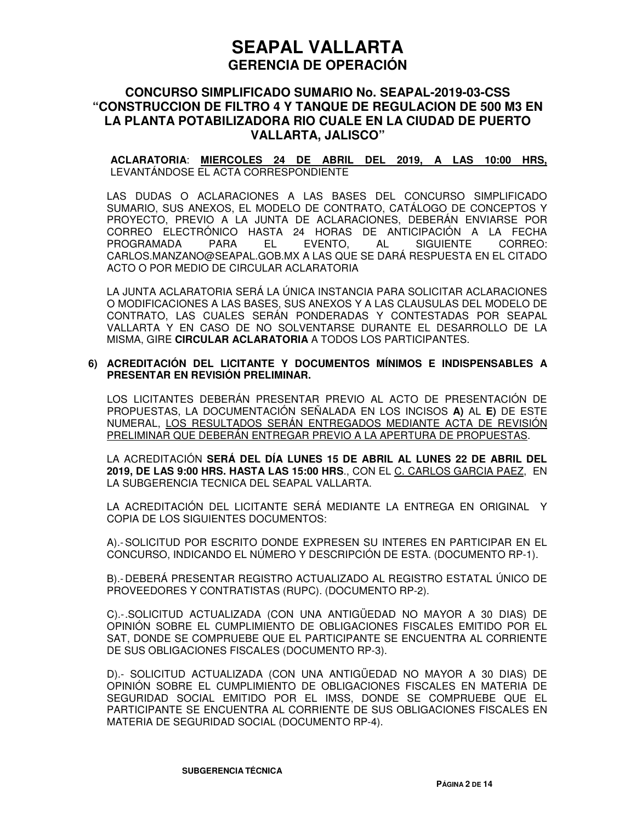### **CONCURSO SIMPLIFICADO SUMARIO No. SEAPAL-2019-03-CSS "CONSTRUCCION DE FILTRO 4 Y TANQUE DE REGULACION DE 500 M3 EN LA PLANTA POTABILIZADORA RIO CUALE EN LA CIUDAD DE PUERTO VALLARTA, JALISCO"**

**ACLARATORIA**: **MIERCOLES 24 DE ABRIL DEL 2019, A LAS 10:00 HRS,**  LEVANTÁNDOSE EL ACTA CORRESPONDIENTE

LAS DUDAS O ACLARACIONES A LAS BASES DEL CONCURSO SIMPLIFICADO SUMARIO, SUS ANEXOS, EL MODELO DE CONTRATO, CATÁLOGO DE CONCEPTOS Y PROYECTO, PREVIO A LA JUNTA DE ACLARACIONES, DEBERÁN ENVIARSE POR CORREO ELECTRÓNICO HASTA 24 HORAS DE ANTICIPACIÓN A LA FECHA PROGRAMADA PARA EL EVENTO, AL SIGUIENTE CORREO: CARLOS.MANZANO@SEAPAL.GOB.MX A LAS QUE SE DARÁ RESPUESTA EN EL CITADO ACTO O POR MEDIO DE CIRCULAR ACLARATORIA

LA JUNTA ACLARATORIA SERÁ LA ÚNICA INSTANCIA PARA SOLICITAR ACLARACIONES O MODIFICACIONES A LAS BASES, SUS ANEXOS Y A LAS CLAUSULAS DEL MODELO DE CONTRATO, LAS CUALES SERÁN PONDERADAS Y CONTESTADAS POR SEAPAL VALLARTA Y EN CASO DE NO SOLVENTARSE DURANTE EL DESARROLLO DE LA MISMA, GIRE **CIRCULAR ACLARATORIA** A TODOS LOS PARTICIPANTES.

#### **6) ACREDITACIÓN DEL LICITANTE Y DOCUMENTOS MÍNIMOS E INDISPENSABLES A PRESENTAR EN REVISIÓN PRELIMINAR.**

LOS LICITANTES DEBERÁN PRESENTAR PREVIO AL ACTO DE PRESENTACIÓN DE PROPUESTAS, LA DOCUMENTACIÓN SEÑALADA EN LOS INCISOS **A)** AL **E)** DE ESTE NUMERAL, LOS RESULTADOS SERÁN ENTREGADOS MEDIANTE ACTA DE REVISIÓN PRELIMINAR QUE DEBERÁN ENTREGAR PREVIO A LA APERTURA DE PROPUESTAS.

LA ACREDITACIÓN **SERÁ DEL DÍA LUNES 15 DE ABRIL AL LUNES 22 DE ABRIL DEL 2019, DE LAS 9:00 HRS. HASTA LAS 15:00 HRS**., CON EL C. CARLOS GARCIA PAEZ, EN LA SUBGERENCIA TECNICA DEL SEAPAL VALLARTA.

LA ACREDITACIÓN DEL LICITANTE SERÁ MEDIANTE LA ENTREGA EN ORIGINAL Y COPIA DE LOS SIGUIENTES DOCUMENTOS:

A).- SOLICITUD POR ESCRITO DONDE EXPRESEN SU INTERES EN PARTICIPAR EN EL CONCURSO, INDICANDO EL NÚMERO Y DESCRIPCIÓN DE ESTA. (DOCUMENTO RP-1).

B).- DEBERÁ PRESENTAR REGISTRO ACTUALIZADO AL REGISTRO ESTATAL ÚNICO DE PROVEEDORES Y CONTRATISTAS (RUPC). (DOCUMENTO RP-2).

C).- .SOLICITUD ACTUALIZADA (CON UNA ANTIGÜEDAD NO MAYOR A 30 DIAS) DE OPINIÓN SOBRE EL CUMPLIMIENTO DE OBLIGACIONES FISCALES EMITIDO POR EL SAT, DONDE SE COMPRUEBE QUE EL PARTICIPANTE SE ENCUENTRA AL CORRIENTE DE SUS OBLIGACIONES FISCALES (DOCUMENTO RP-3).

D).- SOLICITUD ACTUALIZADA (CON UNA ANTIGÜEDAD NO MAYOR A 30 DIAS) DE OPINIÓN SOBRE EL CUMPLIMIENTO DE OBLIGACIONES FISCALES EN MATERIA DE SEGURIDAD SOCIAL EMITIDO POR EL IMSS, DONDE SE COMPRUEBE QUE EL PARTICIPANTE SE ENCUENTRA AL CORRIENTE DE SUS OBLIGACIONES FISCALES EN MATERIA DE SEGURIDAD SOCIAL (DOCUMENTO RP-4).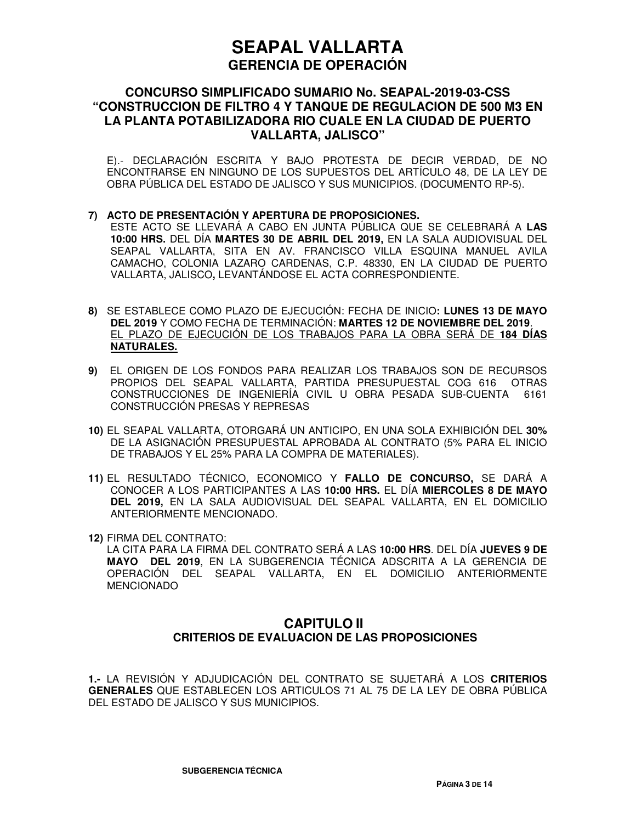## **CONCURSO SIMPLIFICADO SUMARIO No. SEAPAL-2019-03-CSS "CONSTRUCCION DE FILTRO 4 Y TANQUE DE REGULACION DE 500 M3 EN LA PLANTA POTABILIZADORA RIO CUALE EN LA CIUDAD DE PUERTO VALLARTA, JALISCO"**

E).- DECLARACIÓN ESCRITA Y BAJO PROTESTA DE DECIR VERDAD, DE NO ENCONTRARSE EN NINGUNO DE LOS SUPUESTOS DEL ARTÍCULO 48, DE LA LEY DE OBRA PÚBLICA DEL ESTADO DE JALISCO Y SUS MUNICIPIOS. (DOCUMENTO RP-5).

#### **7) ACTO DE PRESENTACIÓN Y APERTURA DE PROPOSICIONES.**

ESTE ACTO SE LLEVARÁ A CABO EN JUNTA PÚBLICA QUE SE CELEBRARÁ A **LAS 10:00 HRS.** DEL DÍA **MARTES 30 DE ABRIL DEL 2019,** EN LA SALA AUDIOVISUAL DEL SEAPAL VALLARTA, SITA EN AV. FRANCISCO VILLA ESQUINA MANUEL AVILA CAMACHO, COLONIA LAZARO CARDENAS, C.P. 48330, EN LA CIUDAD DE PUERTO VALLARTA, JALISCO**,** LEVANTÁNDOSE EL ACTA CORRESPONDIENTE.

- **8)** SE ESTABLECE COMO PLAZO DE EJECUCIÓN: FECHA DE INICIO**: LUNES 13 DE MAYO DEL 2019** Y COMO FECHA DE TERMINACIÓN: **MARTES 12 DE NOVIEMBRE DEL 2019**. EL PLAZO DE EJECUCIÓN DE LOS TRABAJOS PARA LA OBRA SERÁ DE **184 DÍAS NATURALES.**
- **9)** EL ORIGEN DE LOS FONDOS PARA REALIZAR LOS TRABAJOS SON DE RECURSOS PROPIOS DEL SEAPAL VALLARTA, PARTIDA PRESUPUESTAL COG 616 OTRAS CONSTRUCCIONES DE INGENIERÍA CIVIL U OBRA PESADA SUB-CUENTA 6161 CONSTRUCCIÓN PRESAS Y REPRESAS
- **10)** EL SEAPAL VALLARTA, OTORGARÁ UN ANTICIPO, EN UNA SOLA EXHIBICIÓN DEL **30%** DE LA ASIGNACIÓN PRESUPUESTAL APROBADA AL CONTRATO (5% PARA EL INICIO DE TRABAJOS Y EL 25% PARA LA COMPRA DE MATERIALES).
- **11)** EL RESULTADO TÉCNICO, ECONOMICO Y **FALLO DE CONCURSO,** SE DARÁ A CONOCER A LOS PARTICIPANTES A LAS **10:00 HRS.** EL DÍA **MIERCOLES 8 DE MAYO DEL 2019,** EN LA SALA AUDIOVISUAL DEL SEAPAL VALLARTA, EN EL DOMICILIO ANTERIORMENTE MENCIONADO.
- **12)** FIRMA DEL CONTRATO:
	- LA CITA PARA LA FIRMA DEL CONTRATO SERÁ A LAS **10:00 HRS**. DEL DÍA **JUEVES 9 DE MAYO DEL 2019**, EN LA SUBGERENCIA TÉCNICA ADSCRITA A LA GERENCIA DE OPERACIÓN DEL SEAPAL VALLARTA, EN EL DOMICILIO ANTERIORMENTE MENCIONADO

## **CAPITULO II CRITERIOS DE EVALUACION DE LAS PROPOSICIONES**

**1.-** LA REVISIÓN Y ADJUDICACIÓN DEL CONTRATO SE SUJETARÁ A LOS **CRITERIOS GENERALES** QUE ESTABLECEN LOS ARTICULOS 71 AL 75 DE LA LEY DE OBRA PÚBLICA DEL ESTADO DE JALISCO Y SUS MUNICIPIOS.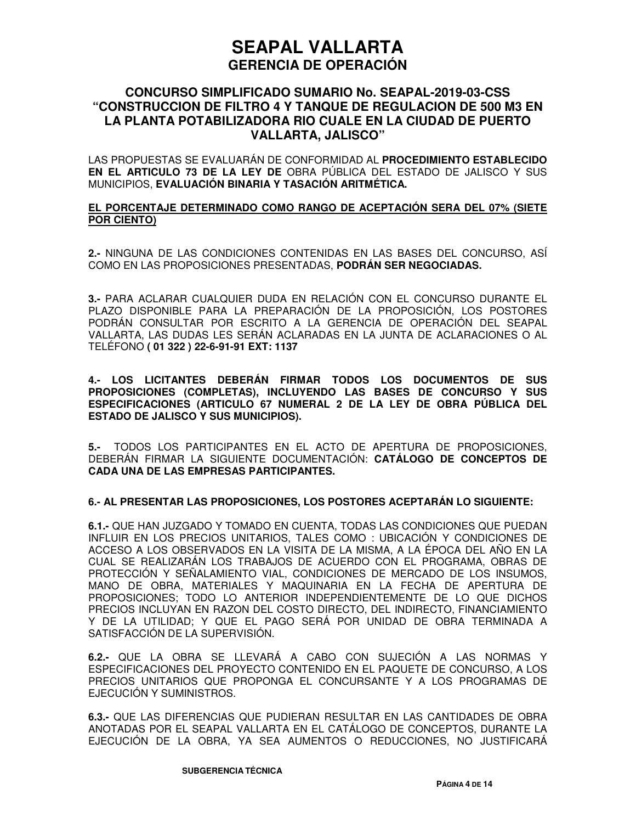## **CONCURSO SIMPLIFICADO SUMARIO No. SEAPAL-2019-03-CSS "CONSTRUCCION DE FILTRO 4 Y TANQUE DE REGULACION DE 500 M3 EN LA PLANTA POTABILIZADORA RIO CUALE EN LA CIUDAD DE PUERTO VALLARTA, JALISCO"**

LAS PROPUESTAS SE EVALUARÁN DE CONFORMIDAD AL **PROCEDIMIENTO ESTABLECIDO EN EL ARTICULO 73 DE LA LEY DE** OBRA PÚBLICA DEL ESTADO DE JALISCO Y SUS MUNICIPIOS, **EVALUACIÓN BINARIA Y TASACIÓN ARITMÉTICA.** 

#### **EL PORCENTAJE DETERMINADO COMO RANGO DE ACEPTACIÓN SERA DEL 07% (SIETE POR CIENTO)**

**2.-** NINGUNA DE LAS CONDICIONES CONTENIDAS EN LAS BASES DEL CONCURSO, ASÍ COMO EN LAS PROPOSICIONES PRESENTADAS, **PODRÁN SER NEGOCIADAS.**

**3.-** PARA ACLARAR CUALQUIER DUDA EN RELACIÓN CON EL CONCURSO DURANTE EL PLAZO DISPONIBLE PARA LA PREPARACIÓN DE LA PROPOSICIÓN, LOS POSTORES PODRÁN CONSULTAR POR ESCRITO A LA GERENCIA DE OPERACIÓN DEL SEAPAL VALLARTA, LAS DUDAS LES SERÁN ACLARADAS EN LA JUNTA DE ACLARACIONES O AL TELÉFONO **( 01 322 ) 22-6-91-91 EXT: 1137**

**4.- LOS LICITANTES DEBERÁN FIRMAR TODOS LOS DOCUMENTOS DE SUS PROPOSICIONES (COMPLETAS), INCLUYENDO LAS BASES DE CONCURSO Y SUS ESPECIFICACIONES (ARTICULO 67 NUMERAL 2 DE LA LEY DE OBRA PÚBLICA DEL ESTADO DE JALISCO Y SUS MUNICIPIOS).** 

**5.-** TODOS LOS PARTICIPANTES EN EL ACTO DE APERTURA DE PROPOSICIONES, DEBERÁN FIRMAR LA SIGUIENTE DOCUMENTACIÓN: **CATÁLOGO DE CONCEPTOS DE CADA UNA DE LAS EMPRESAS PARTICIPANTES.**

#### **6.- AL PRESENTAR LAS PROPOSICIONES, LOS POSTORES ACEPTARÁN LO SIGUIENTE:**

**6.1.-** QUE HAN JUZGADO Y TOMADO EN CUENTA, TODAS LAS CONDICIONES QUE PUEDAN INFLUIR EN LOS PRECIOS UNITARIOS, TALES COMO : UBICACIÓN Y CONDICIONES DE ACCESO A LOS OBSERVADOS EN LA VISITA DE LA MISMA, A LA ÉPOCA DEL AÑO EN LA CUAL SE REALIZARÁN LOS TRABAJOS DE ACUERDO CON EL PROGRAMA, OBRAS DE PROTECCIÓN Y SEÑALAMIENTO VIAL, CONDICIONES DE MERCADO DE LOS INSUMOS, MANO DE OBRA, MATERIALES Y MAQUINARIA EN LA FECHA DE APERTURA DE PROPOSICIONES; TODO LO ANTERIOR INDEPENDIENTEMENTE DE LO QUE DICHOS PRECIOS INCLUYAN EN RAZON DEL COSTO DIRECTO, DEL INDIRECTO, FINANCIAMIENTO Y DE LA UTILIDAD; Y QUE EL PAGO SERÁ POR UNIDAD DE OBRA TERMINADA A SATISFACCIÓN DE LA SUPERVISIÓN.

**6.2.-** QUE LA OBRA SE LLEVARÁ A CABO CON SUJECIÓN A LAS NORMAS Y ESPECIFICACIONES DEL PROYECTO CONTENIDO EN EL PAQUETE DE CONCURSO, A LOS PRECIOS UNITARIOS QUE PROPONGA EL CONCURSANTE Y A LOS PROGRAMAS DE EJECUCIÓN Y SUMINISTROS.

**6.3.-** QUE LAS DIFERENCIAS QUE PUDIERAN RESULTAR EN LAS CANTIDADES DE OBRA ANOTADAS POR EL SEAPAL VALLARTA EN EL CATÁLOGO DE CONCEPTOS, DURANTE LA EJECUCIÓN DE LA OBRA, YA SEA AUMENTOS O REDUCCIONES, NO JUSTIFICARÁ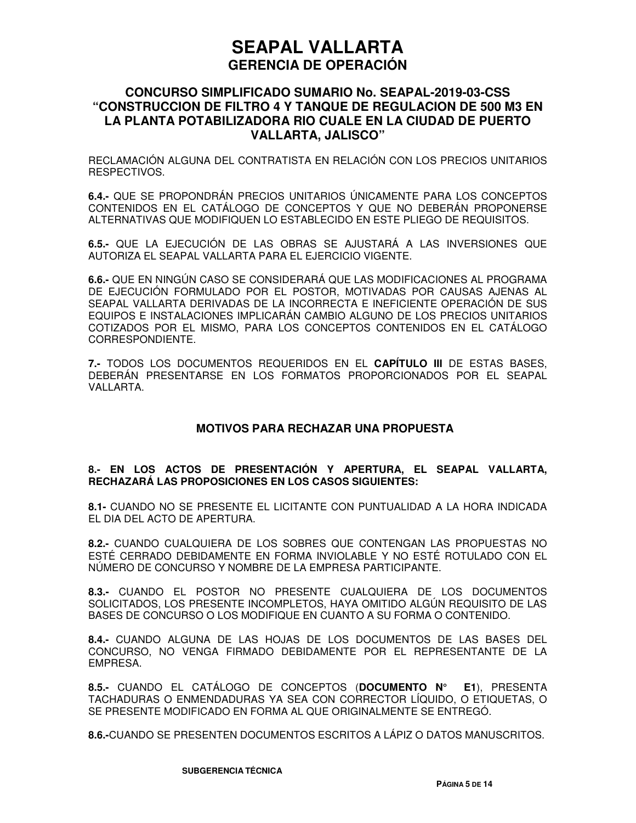## **CONCURSO SIMPLIFICADO SUMARIO No. SEAPAL-2019-03-CSS "CONSTRUCCION DE FILTRO 4 Y TANQUE DE REGULACION DE 500 M3 EN LA PLANTA POTABILIZADORA RIO CUALE EN LA CIUDAD DE PUERTO VALLARTA, JALISCO"**

RECLAMACIÓN ALGUNA DEL CONTRATISTA EN RELACIÓN CON LOS PRECIOS UNITARIOS RESPECTIVOS.

**6.4.-** QUE SE PROPONDRÁN PRECIOS UNITARIOS ÚNICAMENTE PARA LOS CONCEPTOS CONTENIDOS EN EL CATÁLOGO DE CONCEPTOS Y QUE NO DEBERÁN PROPONERSE ALTERNATIVAS QUE MODIFIQUEN LO ESTABLECIDO EN ESTE PLIEGO DE REQUISITOS.

**6.5.-** QUE LA EJECUCIÓN DE LAS OBRAS SE AJUSTARÁ A LAS INVERSIONES QUE AUTORIZA EL SEAPAL VALLARTA PARA EL EJERCICIO VIGENTE.

**6.6.-** QUE EN NINGÚN CASO SE CONSIDERARÁ QUE LAS MODIFICACIONES AL PROGRAMA DE EJECUCIÓN FORMULADO POR EL POSTOR, MOTIVADAS POR CAUSAS AJENAS AL SEAPAL VALLARTA DERIVADAS DE LA INCORRECTA E INEFICIENTE OPERACIÓN DE SUS EQUIPOS E INSTALACIONES IMPLICARÁN CAMBIO ALGUNO DE LOS PRECIOS UNITARIOS COTIZADOS POR EL MISMO, PARA LOS CONCEPTOS CONTENIDOS EN EL CATÁLOGO CORRESPONDIENTE.

**7.-** TODOS LOS DOCUMENTOS REQUERIDOS EN EL **CAPÍTULO III** DE ESTAS BASES, DEBERÁN PRESENTARSE EN LOS FORMATOS PROPORCIONADOS POR EL SEAPAL VALLARTA.

#### **MOTIVOS PARA RECHAZAR UNA PROPUESTA**

#### **8.- EN LOS ACTOS DE PRESENTACIÓN Y APERTURA, EL SEAPAL VALLARTA, RECHAZARÁ LAS PROPOSICIONES EN LOS CASOS SIGUIENTES:**

**8.1-** CUANDO NO SE PRESENTE EL LICITANTE CON PUNTUALIDAD A LA HORA INDICADA EL DIA DEL ACTO DE APERTURA.

**8.2.-** CUANDO CUALQUIERA DE LOS SOBRES QUE CONTENGAN LAS PROPUESTAS NO ESTÉ CERRADO DEBIDAMENTE EN FORMA INVIOLABLE Y NO ESTÉ ROTULADO CON EL NÚMERO DE CONCURSO Y NOMBRE DE LA EMPRESA PARTICIPANTE.

**8.3.-** CUANDO EL POSTOR NO PRESENTE CUALQUIERA DE LOS DOCUMENTOS SOLICITADOS, LOS PRESENTE INCOMPLETOS, HAYA OMITIDO ALGÚN REQUISITO DE LAS BASES DE CONCURSO O LOS MODIFIQUE EN CUANTO A SU FORMA O CONTENIDO.

**8.4.-** CUANDO ALGUNA DE LAS HOJAS DE LOS DOCUMENTOS DE LAS BASES DEL CONCURSO, NO VENGA FIRMADO DEBIDAMENTE POR EL REPRESENTANTE DE LA EMPRESA.

**8.5.-** CUANDO EL CATÁLOGO DE CONCEPTOS (**DOCUMENTO N° E1**), PRESENTA TACHADURAS O ENMENDADURAS YA SEA CON CORRECTOR LÍQUIDO, O ETIQUETAS, O SE PRESENTE MODIFICADO EN FORMA AL QUE ORIGINALMENTE SE ENTREGÓ.

**8.6.-**CUANDO SE PRESENTEN DOCUMENTOS ESCRITOS A LÁPIZ O DATOS MANUSCRITOS.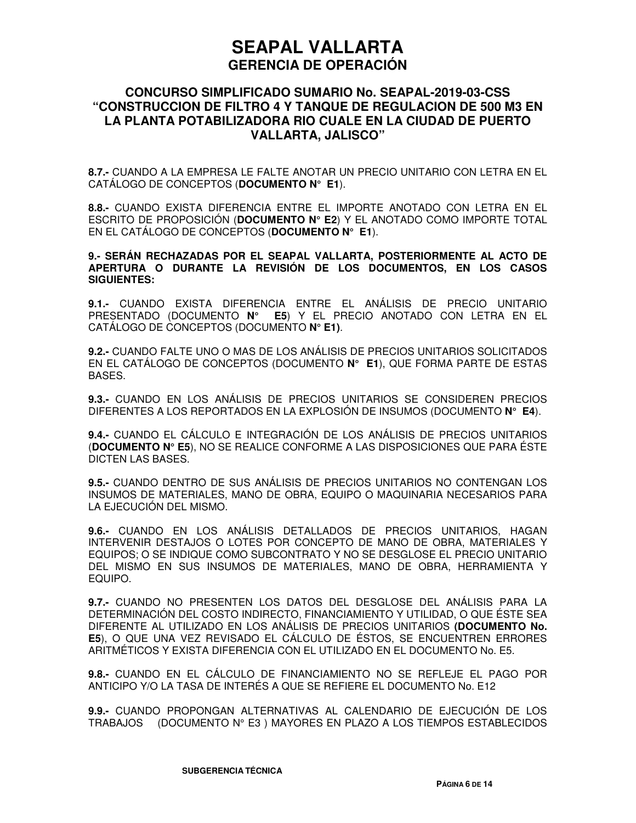## **CONCURSO SIMPLIFICADO SUMARIO No. SEAPAL-2019-03-CSS "CONSTRUCCION DE FILTRO 4 Y TANQUE DE REGULACION DE 500 M3 EN LA PLANTA POTABILIZADORA RIO CUALE EN LA CIUDAD DE PUERTO VALLARTA, JALISCO"**

**8.7.-** CUANDO A LA EMPRESA LE FALTE ANOTAR UN PRECIO UNITARIO CON LETRA EN EL CATÁLOGO DE CONCEPTOS (**DOCUMENTO N° E1**).

**8.8.-** CUANDO EXISTA DIFERENCIA ENTRE EL IMPORTE ANOTADO CON LETRA EN EL ESCRITO DE PROPOSICIÓN (**DOCUMENTO N° E2**) Y EL ANOTADO COMO IMPORTE TOTAL EN EL CATÁLOGO DE CONCEPTOS (**DOCUMENTO N° E1**).

**9.- SERÁN RECHAZADAS POR EL SEAPAL VALLARTA, POSTERIORMENTE AL ACTO DE APERTURA O DURANTE LA REVISIÓN DE LOS DOCUMENTOS, EN LOS CASOS SIGUIENTES:** 

**9.1.-** CUANDO EXISTA DIFERENCIA ENTRE EL ANÁLISIS DE PRECIO UNITARIO PRESENTADO (DOCUMENTO **N° E5**) Y EL PRECIO ANOTADO CON LETRA EN EL CATÁLOGO DE CONCEPTOS (DOCUMENTO **N° E1)**.

**9.2.-** CUANDO FALTE UNO O MAS DE LOS ANÁLISIS DE PRECIOS UNITARIOS SOLICITADOS EN EL CATÁLOGO DE CONCEPTOS (DOCUMENTO **N° E1**), QUE FORMA PARTE DE ESTAS BASES.

**9.3.-** CUANDO EN LOS ANÁLISIS DE PRECIOS UNITARIOS SE CONSIDEREN PRECIOS DIFERENTES A LOS REPORTADOS EN LA EXPLOSIÓN DE INSUMOS (DOCUMENTO **N° E4**).

**9.4.-** CUANDO EL CÁLCULO E INTEGRACIÓN DE LOS ANÁLISIS DE PRECIOS UNITARIOS (**DOCUMENTO N° E5**), NO SE REALICE CONFORME A LAS DISPOSICIONES QUE PARA ÉSTE DICTEN LAS BASES.

**9.5.-** CUANDO DENTRO DE SUS ANÁLISIS DE PRECIOS UNITARIOS NO CONTENGAN LOS INSUMOS DE MATERIALES, MANO DE OBRA, EQUIPO O MAQUINARIA NECESARIOS PARA LA EJECUCIÓN DEL MISMO.

**9.6.-** CUANDO EN LOS ANÁLISIS DETALLADOS DE PRECIOS UNITARIOS, HAGAN INTERVENIR DESTAJOS O LOTES POR CONCEPTO DE MANO DE OBRA, MATERIALES Y EQUIPOS; O SE INDIQUE COMO SUBCONTRATO Y NO SE DESGLOSE EL PRECIO UNITARIO DEL MISMO EN SUS INSUMOS DE MATERIALES, MANO DE OBRA, HERRAMIENTA Y EQUIPO.

**9.7.-** CUANDO NO PRESENTEN LOS DATOS DEL DESGLOSE DEL ANÁLISIS PARA LA DETERMINACIÓN DEL COSTO INDIRECTO, FINANCIAMIENTO Y UTILIDAD, O QUE ÉSTE SEA DIFERENTE AL UTILIZADO EN LOS ANÁLISIS DE PRECIOS UNITARIOS **(DOCUMENTO No. E5**), O QUE UNA VEZ REVISADO EL CÁLCULO DE ÉSTOS, SE ENCUENTREN ERRORES ARITMÉTICOS Y EXISTA DIFERENCIA CON EL UTILIZADO EN EL DOCUMENTO No. E5.

**9.8.-** CUANDO EN EL CÁLCULO DE FINANCIAMIENTO NO SE REFLEJE EL PAGO POR ANTICIPO Y/O LA TASA DE INTERÉS A QUE SE REFIERE EL DOCUMENTO No. E12

**9.9.-** CUANDO PROPONGAN ALTERNATIVAS AL CALENDARIO DE EJECUCIÓN DE LOS TRABAJOS (DOCUMENTO N° E3 ) MAYORES EN PLAZO A LOS TIEMPOS ESTABLECIDOS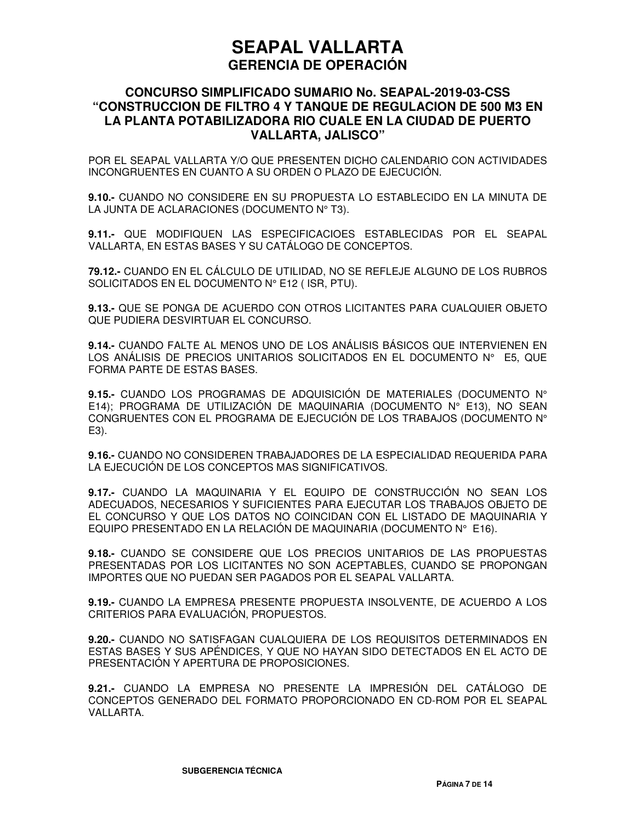## **CONCURSO SIMPLIFICADO SUMARIO No. SEAPAL-2019-03-CSS "CONSTRUCCION DE FILTRO 4 Y TANQUE DE REGULACION DE 500 M3 EN LA PLANTA POTABILIZADORA RIO CUALE EN LA CIUDAD DE PUERTO VALLARTA, JALISCO"**

POR EL SEAPAL VALLARTA Y/O QUE PRESENTEN DICHO CALENDARIO CON ACTIVIDADES INCONGRUENTES EN CUANTO A SU ORDEN O PLAZO DE EJECUCIÓN.

**9.10.-** CUANDO NO CONSIDERE EN SU PROPUESTA LO ESTABLECIDO EN LA MINUTA DE LA JUNTA DE ACLARACIONES (DOCUMENTO Nº T3).

**9.11.-** QUE MODIFIQUEN LAS ESPECIFICACIOES ESTABLECIDAS POR EL SEAPAL VALLARTA, EN ESTAS BASES Y SU CATÁLOGO DE CONCEPTOS.

**79.12.-** CUANDO EN EL CÁLCULO DE UTILIDAD, NO SE REFLEJE ALGUNO DE LOS RUBROS SOLICITADOS EN EL DOCUMENTO N° E12 ( ISR, PTU).

**9.13.-** QUE SE PONGA DE ACUERDO CON OTROS LICITANTES PARA CUALQUIER OBJETO QUE PUDIERA DESVIRTUAR EL CONCURSO.

**9.14.-** CUANDO FALTE AL MENOS UNO DE LOS ANÁLISIS BÁSICOS QUE INTERVIENEN EN LOS ANÁLISIS DE PRECIOS UNITARIOS SOLICITADOS EN EL DOCUMENTO N° E5, QUE FORMA PARTE DE ESTAS BASES.

**9.15.-** CUANDO LOS PROGRAMAS DE ADQUISICIÓN DE MATERIALES (DOCUMENTO N° E14); PROGRAMA DE UTILIZACIÓN DE MAQUINARIA (DOCUMENTO N° E13), NO SEAN CONGRUENTES CON EL PROGRAMA DE EJECUCIÓN DE LOS TRABAJOS (DOCUMENTO N° E3).

**9.16.-** CUANDO NO CONSIDEREN TRABAJADORES DE LA ESPECIALIDAD REQUERIDA PARA LA EJECUCIÓN DE LOS CONCEPTOS MAS SIGNIFICATIVOS.

**9.17.-** CUANDO LA MAQUINARIA Y EL EQUIPO DE CONSTRUCCIÓN NO SEAN LOS ADECUADOS, NECESARIOS Y SUFICIENTES PARA EJECUTAR LOS TRABAJOS OBJETO DE EL CONCURSO Y QUE LOS DATOS NO COINCIDAN CON EL LISTADO DE MAQUINARIA Y EQUIPO PRESENTADO EN LA RELACIÓN DE MAQUINARIA (DOCUMENTO N° E16).

**9.18.-** CUANDO SE CONSIDERE QUE LOS PRECIOS UNITARIOS DE LAS PROPUESTAS PRESENTADAS POR LOS LICITANTES NO SON ACEPTABLES, CUANDO SE PROPONGAN IMPORTES QUE NO PUEDAN SER PAGADOS POR EL SEAPAL VALLARTA.

**9.19.-** CUANDO LA EMPRESA PRESENTE PROPUESTA INSOLVENTE, DE ACUERDO A LOS CRITERIOS PARA EVALUACIÓN, PROPUESTOS.

**9.20.-** CUANDO NO SATISFAGAN CUALQUIERA DE LOS REQUISITOS DETERMINADOS EN ESTAS BASES Y SUS APÉNDICES, Y QUE NO HAYAN SIDO DETECTADOS EN EL ACTO DE PRESENTACIÓN Y APERTURA DE PROPOSICIONES.

**9.21.-** CUANDO LA EMPRESA NO PRESENTE LA IMPRESIÓN DEL CATÁLOGO DE CONCEPTOS GENERADO DEL FORMATO PROPORCIONADO EN CD-ROM POR EL SEAPAL VALLARTA.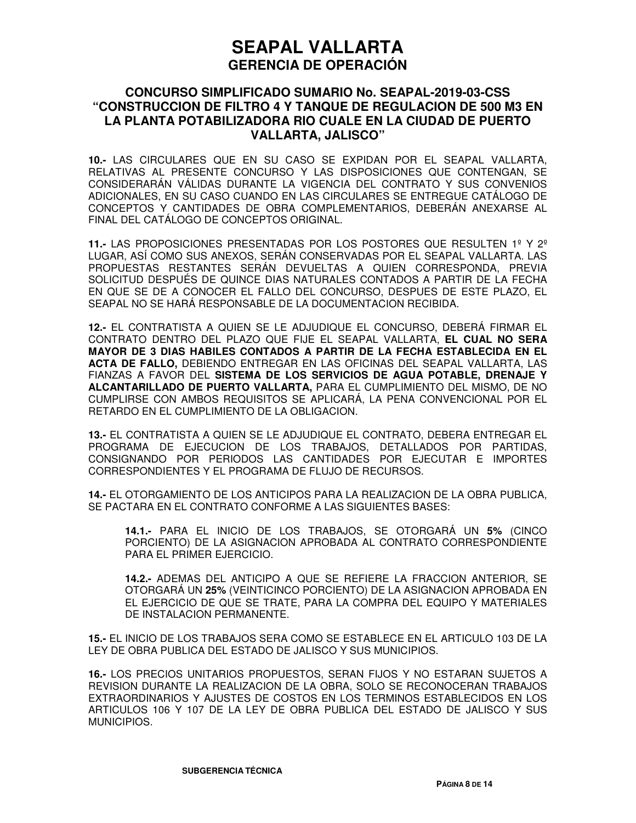## **CONCURSO SIMPLIFICADO SUMARIO No. SEAPAL-2019-03-CSS "CONSTRUCCION DE FILTRO 4 Y TANQUE DE REGULACION DE 500 M3 EN LA PLANTA POTABILIZADORA RIO CUALE EN LA CIUDAD DE PUERTO VALLARTA, JALISCO"**

**10.-** LAS CIRCULARES QUE EN SU CASO SE EXPIDAN POR EL SEAPAL VALLARTA, RELATIVAS AL PRESENTE CONCURSO Y LAS DISPOSICIONES QUE CONTENGAN, SE CONSIDERARÁN VÁLIDAS DURANTE LA VIGENCIA DEL CONTRATO Y SUS CONVENIOS ADICIONALES, EN SU CASO CUANDO EN LAS CIRCULARES SE ENTREGUE CATÁLOGO DE CONCEPTOS Y CANTIDADES DE OBRA COMPLEMENTARIOS, DEBERÁN ANEXARSE AL FINAL DEL CATÁLOGO DE CONCEPTOS ORIGINAL.

**11.-** LAS PROPOSICIONES PRESENTADAS POR LOS POSTORES QUE RESULTEN 1º Y 2º LUGAR, ASÍ COMO SUS ANEXOS, SERÁN CONSERVADAS POR EL SEAPAL VALLARTA. LAS PROPUESTAS RESTANTES SERÁN DEVUELTAS A QUIEN CORRESPONDA, PREVIA SOLICITUD DESPUÉS DE QUINCE DIAS NATURALES CONTADOS A PARTIR DE LA FECHA EN QUE SE DE A CONOCER EL FALLO DEL CONCURSO, DESPUES DE ESTE PLAZO, EL SEAPAL NO SE HARÁ RESPONSABLE DE LA DOCUMENTACION RECIBIDA.

**12.-** EL CONTRATISTA A QUIEN SE LE ADJUDIQUE EL CONCURSO, DEBERÁ FIRMAR EL CONTRATO DENTRO DEL PLAZO QUE FIJE EL SEAPAL VALLARTA, **EL CUAL NO SERA MAYOR DE 3 DIAS HABILES CONTADOS A PARTIR DE LA FECHA ESTABLECIDA EN EL ACTA DE FALLO,** DEBIENDO ENTREGAR EN LAS OFICINAS DEL SEAPAL VALLARTA, LAS FIANZAS A FAVOR DEL **SISTEMA DE LOS SERVICIOS DE AGUA POTABLE, DRENAJE Y ALCANTARILLADO DE PUERTO VALLARTA,** PARA EL CUMPLIMIENTO DEL MISMO, DE NO CUMPLIRSE CON AMBOS REQUISITOS SE APLICARÁ, LA PENA CONVENCIONAL POR EL RETARDO EN EL CUMPLIMIENTO DE LA OBLIGACION.

**13.-** EL CONTRATISTA A QUIEN SE LE ADJUDIQUE EL CONTRATO, DEBERA ENTREGAR EL PROGRAMA DE EJECUCION DE LOS TRABAJOS, DETALLADOS POR PARTIDAS, CONSIGNANDO POR PERIODOS LAS CANTIDADES POR EJECUTAR E IMPORTES CORRESPONDIENTES Y EL PROGRAMA DE FLUJO DE RECURSOS.

**14.-** EL OTORGAMIENTO DE LOS ANTICIPOS PARA LA REALIZACION DE LA OBRA PUBLICA, SE PACTARA EN EL CONTRATO CONFORME A LAS SIGUIENTES BASES:

**14.1.-** PARA EL INICIO DE LOS TRABAJOS, SE OTORGARÁ UN **5%** (CINCO PORCIENTO) DE LA ASIGNACION APROBADA AL CONTRATO CORRESPONDIENTE PARA EL PRIMER EJERCICIO.

**14.2.-** ADEMAS DEL ANTICIPO A QUE SE REFIERE LA FRACCION ANTERIOR, SE OTORGARÁ UN **25%** (VEINTICINCO PORCIENTO) DE LA ASIGNACION APROBADA EN EL EJERCICIO DE QUE SE TRATE, PARA LA COMPRA DEL EQUIPO Y MATERIALES DE INSTALACION PERMANENTE.

**15.-** EL INICIO DE LOS TRABAJOS SERA COMO SE ESTABLECE EN EL ARTICULO 103 DE LA LEY DE OBRA PUBLICA DEL ESTADO DE JALISCO Y SUS MUNICIPIOS.

**16.-** LOS PRECIOS UNITARIOS PROPUESTOS, SERAN FIJOS Y NO ESTARAN SUJETOS A REVISION DURANTE LA REALIZACION DE LA OBRA, SOLO SE RECONOCERAN TRABAJOS EXTRAORDINARIOS Y AJUSTES DE COSTOS EN LOS TERMINOS ESTABLECIDOS EN LOS ARTICULOS 106 Y 107 DE LA LEY DE OBRA PUBLICA DEL ESTADO DE JALISCO Y SUS MUNICIPIOS.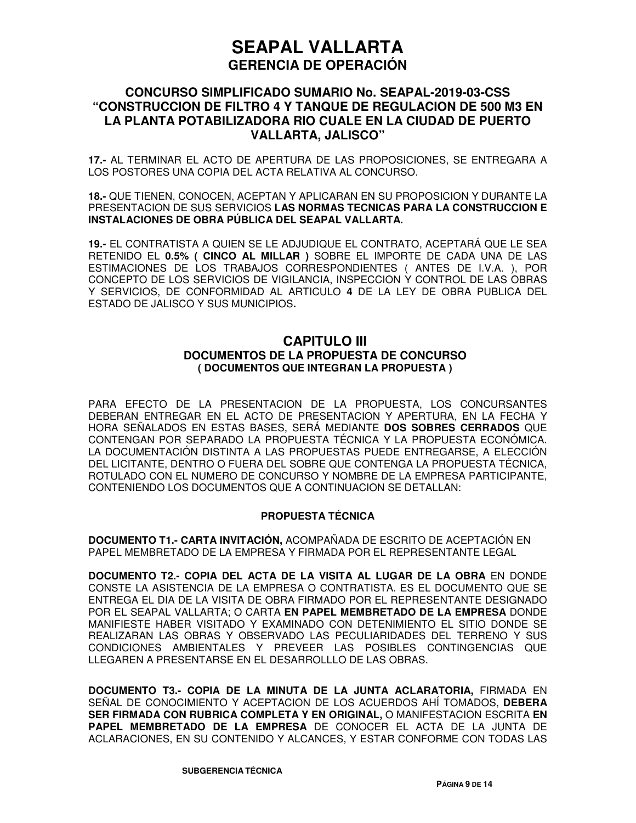## **CONCURSO SIMPLIFICADO SUMARIO No. SEAPAL-2019-03-CSS "CONSTRUCCION DE FILTRO 4 Y TANQUE DE REGULACION DE 500 M3 EN LA PLANTA POTABILIZADORA RIO CUALE EN LA CIUDAD DE PUERTO VALLARTA, JALISCO"**

**17.-** AL TERMINAR EL ACTO DE APERTURA DE LAS PROPOSICIONES, SE ENTREGARA A LOS POSTORES UNA COPIA DEL ACTA RELATIVA AL CONCURSO.

**18.-** QUE TIENEN, CONOCEN, ACEPTAN Y APLICARAN EN SU PROPOSICION Y DURANTE LA PRESENTACION DE SUS SERVICIOS **LAS NORMAS TECNICAS PARA LA CONSTRUCCION E INSTALACIONES DE OBRA PÚBLICA DEL SEAPAL VALLARTA.**

**19.-** EL CONTRATISTA A QUIEN SE LE ADJUDIQUE EL CONTRATO, ACEPTARÁ QUE LE SEA RETENIDO EL **0.5% ( CINCO AL MILLAR )** SOBRE EL IMPORTE DE CADA UNA DE LAS ESTIMACIONES DE LOS TRABAJOS CORRESPONDIENTES ( ANTES DE I.V.A. ), POR CONCEPTO DE LOS SERVICIOS DE VIGILANCIA, INSPECCION Y CONTROL DE LAS OBRAS Y SERVICIOS, DE CONFORMIDAD AL ARTICULO **4** DE LA LEY DE OBRA PUBLICA DEL ESTADO DE JALISCO Y SUS MUNICIPIOS**.**

## **CAPITULO III DOCUMENTOS DE LA PROPUESTA DE CONCURSO ( DOCUMENTOS QUE INTEGRAN LA PROPUESTA )**

PARA EFECTO DE LA PRESENTACION DE LA PROPUESTA, LOS CONCURSANTES DEBERAN ENTREGAR EN EL ACTO DE PRESENTACION Y APERTURA, EN LA FECHA Y HORA SEÑALADOS EN ESTAS BASES, SERÁ MEDIANTE **DOS SOBRES CERRADOS** QUE CONTENGAN POR SEPARADO LA PROPUESTA TÉCNICA Y LA PROPUESTA ECONÓMICA. LA DOCUMENTACIÓN DISTINTA A LAS PROPUESTAS PUEDE ENTREGARSE, A ELECCIÓN DEL LICITANTE, DENTRO O FUERA DEL SOBRE QUE CONTENGA LA PROPUESTA TÉCNICA, ROTULADO CON EL NUMERO DE CONCURSO Y NOMBRE DE LA EMPRESA PARTICIPANTE, CONTENIENDO LOS DOCUMENTOS QUE A CONTINUACION SE DETALLAN:

#### **PROPUESTA TÉCNICA**

**DOCUMENTO T1.- CARTA INVITACIÓN,** ACOMPAÑADA DE ESCRITO DE ACEPTACIÓN EN PAPEL MEMBRETADO DE LA EMPRESA Y FIRMADA POR EL REPRESENTANTE LEGAL

**DOCUMENTO T2.- COPIA DEL ACTA DE LA VISITA AL LUGAR DE LA OBRA** EN DONDE CONSTE LA ASISTENCIA DE LA EMPRESA O CONTRATISTA. ES EL DOCUMENTO QUE SE ENTREGA EL DIA DE LA VISITA DE OBRA FIRMADO POR EL REPRESENTANTE DESIGNADO POR EL SEAPAL VALLARTA; O CARTA **EN PAPEL MEMBRETADO DE LA EMPRESA** DONDE MANIFIESTE HABER VISITADO Y EXAMINADO CON DETENIMIENTO EL SITIO DONDE SE REALIZARAN LAS OBRAS Y OBSERVADO LAS PECULIARIDADES DEL TERRENO Y SUS CONDICIONES AMBIENTALES Y PREVEER LAS POSIBLES CONTINGENCIAS QUE LLEGAREN A PRESENTARSE EN EL DESARROLLLO DE LAS OBRAS.

**DOCUMENTO T3.- COPIA DE LA MINUTA DE LA JUNTA ACLARATORIA,** FIRMADA EN SEÑAL DE CONOCIMIENTO Y ACEPTACION DE LOS ACUERDOS AHÍ TOMADOS, **DEBERA SER FIRMADA CON RUBRICA COMPLETA Y EN ORIGINAL,** O MANIFESTACION ESCRITA **EN PAPEL MEMBRETADO DE LA EMPRESA** DE CONOCER EL ACTA DE LA JUNTA DE ACLARACIONES, EN SU CONTENIDO Y ALCANCES, Y ESTAR CONFORME CON TODAS LAS

**SUBGERENCIA TÉCNICA**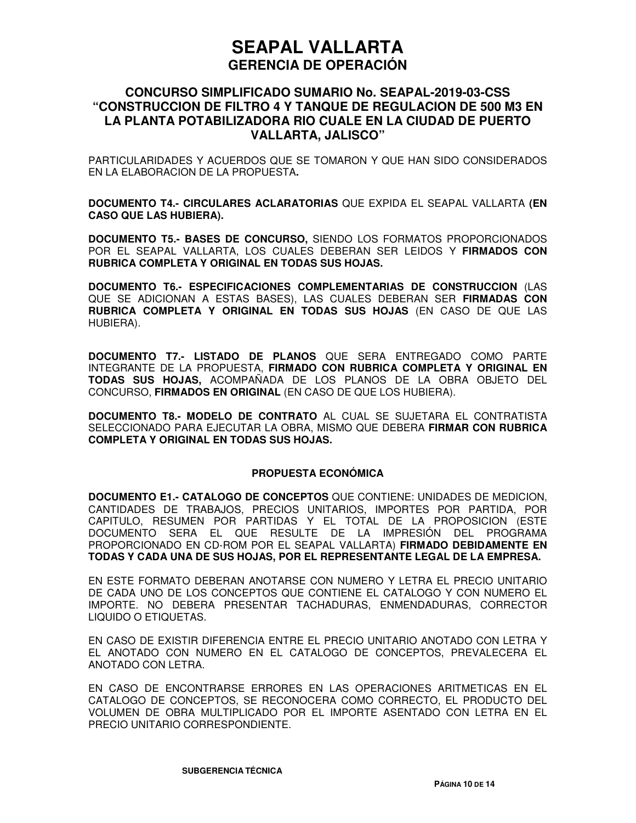### **CONCURSO SIMPLIFICADO SUMARIO No. SEAPAL-2019-03-CSS "CONSTRUCCION DE FILTRO 4 Y TANQUE DE REGULACION DE 500 M3 EN LA PLANTA POTABILIZADORA RIO CUALE EN LA CIUDAD DE PUERTO VALLARTA, JALISCO"**

PARTICULARIDADES Y ACUERDOS QUE SE TOMARON Y QUE HAN SIDO CONSIDERADOS EN LA ELABORACION DE LA PROPUESTA**.**

**DOCUMENTO T4.- CIRCULARES ACLARATORIAS** QUE EXPIDA EL SEAPAL VALLARTA **(EN CASO QUE LAS HUBIERA).** 

**DOCUMENTO T5.- BASES DE CONCURSO,** SIENDO LOS FORMATOS PROPORCIONADOS POR EL SEAPAL VALLARTA, LOS CUALES DEBERAN SER LEIDOS Y **FIRMADOS CON RUBRICA COMPLETA Y ORIGINAL EN TODAS SUS HOJAS.**

**DOCUMENTO T6.- ESPECIFICACIONES COMPLEMENTARIAS DE CONSTRUCCION** (LAS QUE SE ADICIONAN A ESTAS BASES), LAS CUALES DEBERAN SER **FIRMADAS CON RUBRICA COMPLETA Y ORIGINAL EN TODAS SUS HOJAS** (EN CASO DE QUE LAS HUBIERA).

**DOCUMENTO T7.- LISTADO DE PLANOS** QUE SERA ENTREGADO COMO PARTE INTEGRANTE DE LA PROPUESTA, **FIRMADO CON RUBRICA COMPLETA Y ORIGINAL EN TODAS SUS HOJAS,** ACOMPAÑADA DE LOS PLANOS DE LA OBRA OBJETO DEL CONCURSO, **FIRMADOS EN ORIGINAL** (EN CASO DE QUE LOS HUBIERA).

**DOCUMENTO T8.- MODELO DE CONTRATO** AL CUAL SE SUJETARA EL CONTRATISTA SELECCIONADO PARA EJECUTAR LA OBRA, MISMO QUE DEBERA **FIRMAR CON RUBRICA COMPLETA Y ORIGINAL EN TODAS SUS HOJAS.**

#### **PROPUESTA ECONÓMICA**

**DOCUMENTO E1.- CATALOGO DE CONCEPTOS** QUE CONTIENE: UNIDADES DE MEDICION, CANTIDADES DE TRABAJOS, PRECIOS UNITARIOS, IMPORTES POR PARTIDA, POR CAPITULO, RESUMEN POR PARTIDAS Y EL TOTAL DE LA PROPOSICION (ESTE DOCUMENTO SERA EL QUE RESULTE DE LA IMPRESIÓN DEL PROGRAMA PROPORCIONADO EN CD-ROM POR EL SEAPAL VALLARTA) **FIRMADO DEBIDAMENTE EN TODAS Y CADA UNA DE SUS HOJAS, POR EL REPRESENTANTE LEGAL DE LA EMPRESA.**

EN ESTE FORMATO DEBERAN ANOTARSE CON NUMERO Y LETRA EL PRECIO UNITARIO DE CADA UNO DE LOS CONCEPTOS QUE CONTIENE EL CATALOGO Y CON NUMERO EL IMPORTE. NO DEBERA PRESENTAR TACHADURAS, ENMENDADURAS, CORRECTOR LIQUIDO O ETIQUETAS.

EN CASO DE EXISTIR DIFERENCIA ENTRE EL PRECIO UNITARIO ANOTADO CON LETRA Y EL ANOTADO CON NUMERO EN EL CATALOGO DE CONCEPTOS, PREVALECERA EL ANOTADO CON LETRA.

EN CASO DE ENCONTRARSE ERRORES EN LAS OPERACIONES ARITMETICAS EN EL CATALOGO DE CONCEPTOS, SE RECONOCERA COMO CORRECTO, EL PRODUCTO DEL VOLUMEN DE OBRA MULTIPLICADO POR EL IMPORTE ASENTADO CON LETRA EN EL PRECIO UNITARIO CORRESPONDIENTE.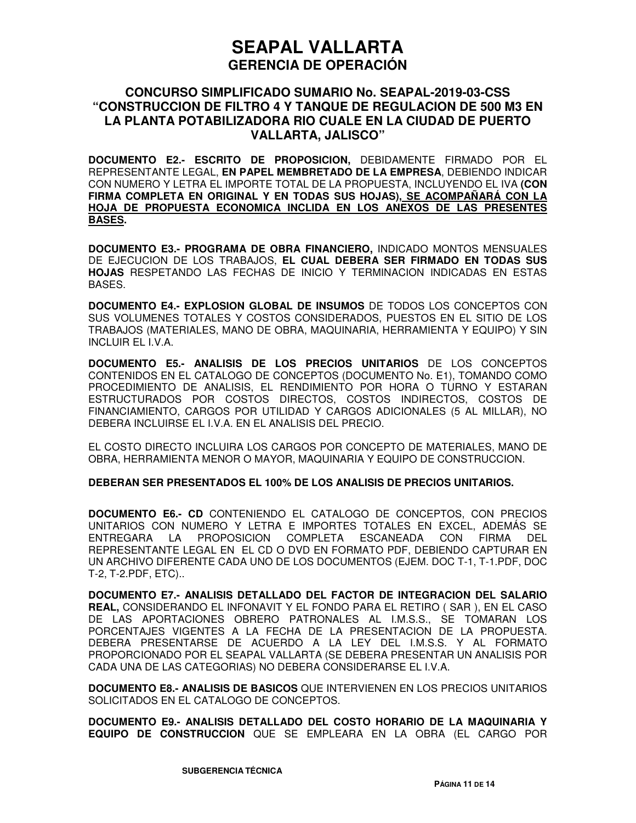### **CONCURSO SIMPLIFICADO SUMARIO No. SEAPAL-2019-03-CSS "CONSTRUCCION DE FILTRO 4 Y TANQUE DE REGULACION DE 500 M3 EN LA PLANTA POTABILIZADORA RIO CUALE EN LA CIUDAD DE PUERTO VALLARTA, JALISCO"**

**DOCUMENTO E2.- ESCRITO DE PROPOSICION,** DEBIDAMENTE FIRMADO POR EL REPRESENTANTE LEGAL, **EN PAPEL MEMBRETADO DE LA EMPRESA**, DEBIENDO INDICAR CON NUMERO Y LETRA EL IMPORTE TOTAL DE LA PROPUESTA, INCLUYENDO EL IVA **(CON FIRMA COMPLETA EN ORIGINAL Y EN TODAS SUS HOJAS), SE ACOMPAÑARÁ CON LA HOJA DE PROPUESTA ECONOMICA INCLIDA EN LOS ANEXOS DE LAS PRESENTES BASES.**

**DOCUMENTO E3.- PROGRAMA DE OBRA FINANCIERO,** INDICADO MONTOS MENSUALES DE EJECUCION DE LOS TRABAJOS, **EL CUAL DEBERA SER FIRMADO EN TODAS SUS HOJAS** RESPETANDO LAS FECHAS DE INICIO Y TERMINACION INDICADAS EN ESTAS BASES.

**DOCUMENTO E4.- EXPLOSION GLOBAL DE INSUMOS** DE TODOS LOS CONCEPTOS CON SUS VOLUMENES TOTALES Y COSTOS CONSIDERADOS, PUESTOS EN EL SITIO DE LOS TRABAJOS (MATERIALES, MANO DE OBRA, MAQUINARIA, HERRAMIENTA Y EQUIPO) Y SIN INCLUIR EL I.V.A.

**DOCUMENTO E5.- ANALISIS DE LOS PRECIOS UNITARIOS** DE LOS CONCEPTOS CONTENIDOS EN EL CATALOGO DE CONCEPTOS (DOCUMENTO No. E1), TOMANDO COMO PROCEDIMIENTO DE ANALISIS, EL RENDIMIENTO POR HORA O TURNO Y ESTARAN ESTRUCTURADOS POR COSTOS DIRECTOS, COSTOS INDIRECTOS, COSTOS DE FINANCIAMIENTO, CARGOS POR UTILIDAD Y CARGOS ADICIONALES (5 AL MILLAR), NO DEBERA INCLUIRSE EL I.V.A. EN EL ANALISIS DEL PRECIO.

EL COSTO DIRECTO INCLUIRA LOS CARGOS POR CONCEPTO DE MATERIALES, MANO DE OBRA, HERRAMIENTA MENOR O MAYOR, MAQUINARIA Y EQUIPO DE CONSTRUCCION.

#### **DEBERAN SER PRESENTADOS EL 100% DE LOS ANALISIS DE PRECIOS UNITARIOS.**

**DOCUMENTO E6.- CD** CONTENIENDO EL CATALOGO DE CONCEPTOS, CON PRECIOS UNITARIOS CON NUMERO Y LETRA E IMPORTES TOTALES EN EXCEL, ADEMÁS SE ENTREGARA LA PROPOSICION COMPLETA ESCANEADA CON FIRMA DEL REPRESENTANTE LEGAL EN EL CD O DVD EN FORMATO PDF, DEBIENDO CAPTURAR EN UN ARCHIVO DIFERENTE CADA UNO DE LOS DOCUMENTOS (EJEM. DOC T-1, T-1.PDF, DOC T-2, T-2.PDF, ETC)..

**DOCUMENTO E7.- ANALISIS DETALLADO DEL FACTOR DE INTEGRACION DEL SALARIO REAL,** CONSIDERANDO EL INFONAVIT Y EL FONDO PARA EL RETIRO ( SAR ), EN EL CASO DE LAS APORTACIONES OBRERO PATRONALES AL I.M.S.S., SE TOMARAN LOS PORCENTAJES VIGENTES A LA FECHA DE LA PRESENTACION DE LA PROPUESTA. DEBERA PRESENTARSE DE ACUERDO A LA LEY DEL I.M.S.S. Y AL FORMATO PROPORCIONADO POR EL SEAPAL VALLARTA (SE DEBERA PRESENTAR UN ANALISIS POR CADA UNA DE LAS CATEGORIAS) NO DEBERA CONSIDERARSE EL I.V.A.

**DOCUMENTO E8.- ANALISIS DE BASICOS** QUE INTERVIENEN EN LOS PRECIOS UNITARIOS SOLICITADOS EN EL CATALOGO DE CONCEPTOS.

**DOCUMENTO E9.- ANALISIS DETALLADO DEL COSTO HORARIO DE LA MAQUINARIA Y EQUIPO DE CONSTRUCCION** QUE SE EMPLEARA EN LA OBRA (EL CARGO POR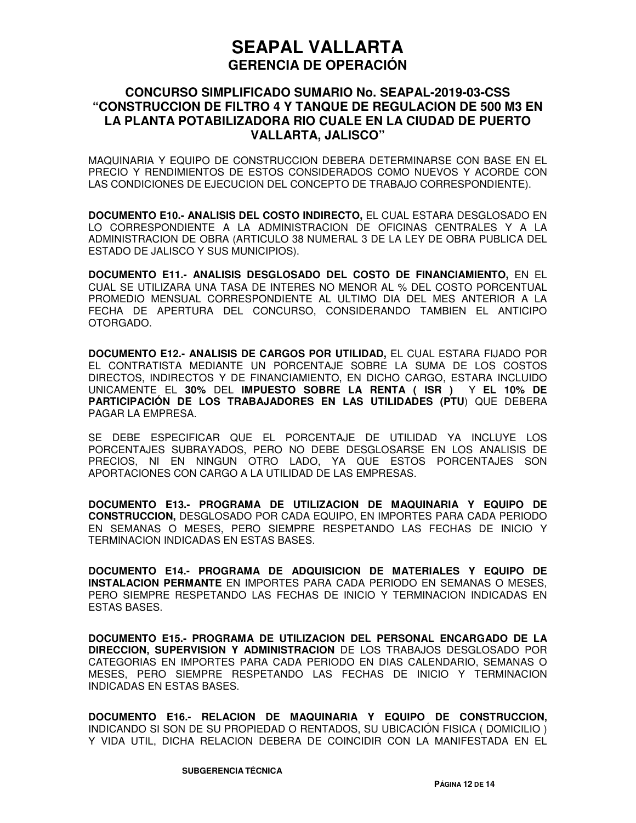## **CONCURSO SIMPLIFICADO SUMARIO No. SEAPAL-2019-03-CSS "CONSTRUCCION DE FILTRO 4 Y TANQUE DE REGULACION DE 500 M3 EN LA PLANTA POTABILIZADORA RIO CUALE EN LA CIUDAD DE PUERTO VALLARTA, JALISCO"**

MAQUINARIA Y EQUIPO DE CONSTRUCCION DEBERA DETERMINARSE CON BASE EN EL PRECIO Y RENDIMIENTOS DE ESTOS CONSIDERADOS COMO NUEVOS Y ACORDE CON LAS CONDICIONES DE EJECUCION DEL CONCEPTO DE TRABAJO CORRESPONDIENTE).

**DOCUMENTO E10.- ANALISIS DEL COSTO INDIRECTO,** EL CUAL ESTARA DESGLOSADO EN LO CORRESPONDIENTE A LA ADMINISTRACION DE OFICINAS CENTRALES Y A LA ADMINISTRACION DE OBRA (ARTICULO 38 NUMERAL 3 DE LA LEY DE OBRA PUBLICA DEL ESTADO DE JALISCO Y SUS MUNICIPIOS).

**DOCUMENTO E11.- ANALISIS DESGLOSADO DEL COSTO DE FINANCIAMIENTO,** EN EL CUAL SE UTILIZARA UNA TASA DE INTERES NO MENOR AL % DEL COSTO PORCENTUAL PROMEDIO MENSUAL CORRESPONDIENTE AL ULTIMO DIA DEL MES ANTERIOR A LA FECHA DE APERTURA DEL CONCURSO, CONSIDERANDO TAMBIEN EL ANTICIPO OTORGADO.

**DOCUMENTO E12.- ANALISIS DE CARGOS POR UTILIDAD,** EL CUAL ESTARA FIJADO POR EL CONTRATISTA MEDIANTE UN PORCENTAJE SOBRE LA SUMA DE LOS COSTOS DIRECTOS, INDIRECTOS Y DE FINANCIAMIENTO, EN DICHO CARGO, ESTARA INCLUIDO UNICAMENTE EL **30%** DEL **IMPUESTO SOBRE LA RENTA ( ISR )** Y **EL 10% DE PARTICIPACIÓN DE LOS TRABAJADORES EN LAS UTILIDADES (PTU**) QUE DEBERA PAGAR LA EMPRESA.

SE DEBE ESPECIFICAR QUE EL PORCENTAJE DE UTILIDAD YA INCLUYE LOS PORCENTAJES SUBRAYADOS, PERO NO DEBE DESGLOSARSE EN LOS ANALISIS DE PRECIOS, NI EN NINGUN OTRO LADO, YA QUE ESTOS PORCENTAJES SON APORTACIONES CON CARGO A LA UTILIDAD DE LAS EMPRESAS.

**DOCUMENTO E13.- PROGRAMA DE UTILIZACION DE MAQUINARIA Y EQUIPO DE CONSTRUCCION,** DESGLOSADO POR CADA EQUIPO, EN IMPORTES PARA CADA PERIODO EN SEMANAS O MESES, PERO SIEMPRE RESPETANDO LAS FECHAS DE INICIO Y TERMINACION INDICADAS EN ESTAS BASES.

**DOCUMENTO E14.- PROGRAMA DE ADQUISICION DE MATERIALES Y EQUIPO DE INSTALACION PERMANTE** EN IMPORTES PARA CADA PERIODO EN SEMANAS O MESES, PERO SIEMPRE RESPETANDO LAS FECHAS DE INICIO Y TERMINACION INDICADAS EN ESTAS BASES.

**DOCUMENTO E15.- PROGRAMA DE UTILIZACION DEL PERSONAL ENCARGADO DE LA DIRECCION, SUPERVISION Y ADMINISTRACION** DE LOS TRABAJOS DESGLOSADO POR CATEGORIAS EN IMPORTES PARA CADA PERIODO EN DIAS CALENDARIO, SEMANAS O MESES, PERO SIEMPRE RESPETANDO LAS FECHAS DE INICIO Y TERMINACION INDICADAS EN ESTAS BASES.

**DOCUMENTO E16.- RELACION DE MAQUINARIA Y EQUIPO DE CONSTRUCCION,** INDICANDO SI SON DE SU PROPIEDAD O RENTADOS, SU UBICACIÓN FISICA ( DOMICILIO ) Y VIDA UTIL, DICHA RELACION DEBERA DE COINCIDIR CON LA MANIFESTADA EN EL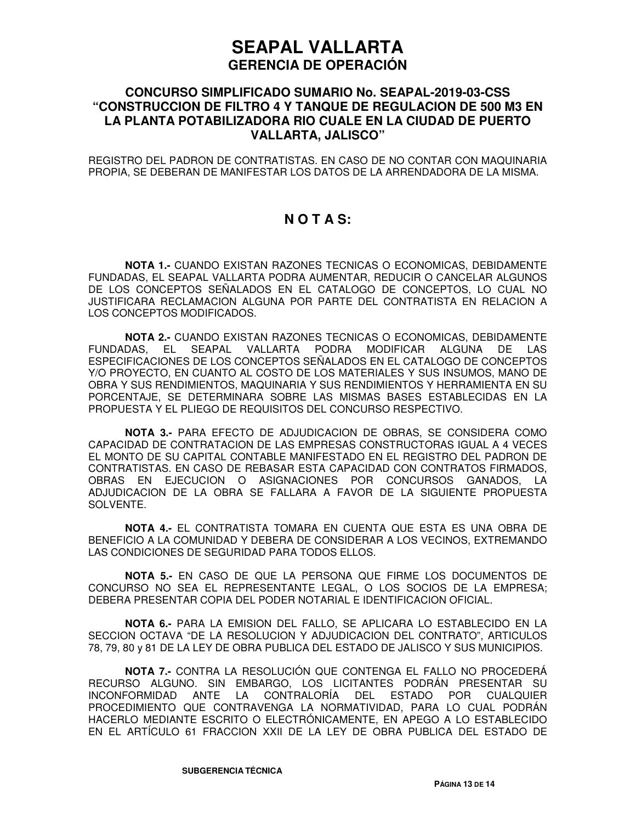## **CONCURSO SIMPLIFICADO SUMARIO No. SEAPAL-2019-03-CSS "CONSTRUCCION DE FILTRO 4 Y TANQUE DE REGULACION DE 500 M3 EN LA PLANTA POTABILIZADORA RIO CUALE EN LA CIUDAD DE PUERTO VALLARTA, JALISCO"**

REGISTRO DEL PADRON DE CONTRATISTAS. EN CASO DE NO CONTAR CON MAQUINARIA PROPIA, SE DEBERAN DE MANIFESTAR LOS DATOS DE LA ARRENDADORA DE LA MISMA.

## **N O T A S:**

**NOTA 1.-** CUANDO EXISTAN RAZONES TECNICAS O ECONOMICAS, DEBIDAMENTE FUNDADAS, EL SEAPAL VALLARTA PODRA AUMENTAR, REDUCIR O CANCELAR ALGUNOS DE LOS CONCEPTOS SEÑALADOS EN EL CATALOGO DE CONCEPTOS, LO CUAL NO JUSTIFICARA RECLAMACION ALGUNA POR PARTE DEL CONTRATISTA EN RELACION A LOS CONCEPTOS MODIFICADOS.

**NOTA 2.-** CUANDO EXISTAN RAZONES TECNICAS O ECONOMICAS, DEBIDAMENTE FUNDADAS, EL SEAPAL VALLARTA PODRA MODIFICAR ALGUNA DE LAS ESPECIFICACIONES DE LOS CONCEPTOS SEÑALADOS EN EL CATALOGO DE CONCEPTOS Y/O PROYECTO, EN CUANTO AL COSTO DE LOS MATERIALES Y SUS INSUMOS, MANO DE OBRA Y SUS RENDIMIENTOS, MAQUINARIA Y SUS RENDIMIENTOS Y HERRAMIENTA EN SU PORCENTAJE, SE DETERMINARA SOBRE LAS MISMAS BASES ESTABLECIDAS EN LA PROPUESTA Y EL PLIEGO DE REQUISITOS DEL CONCURSO RESPECTIVO.

**NOTA 3.-** PARA EFECTO DE ADJUDICACION DE OBRAS, SE CONSIDERA COMO CAPACIDAD DE CONTRATACION DE LAS EMPRESAS CONSTRUCTORAS IGUAL A 4 VECES EL MONTO DE SU CAPITAL CONTABLE MANIFESTADO EN EL REGISTRO DEL PADRON DE CONTRATISTAS. EN CASO DE REBASAR ESTA CAPACIDAD CON CONTRATOS FIRMADOS, OBRAS EN EJECUCION O ASIGNACIONES POR CONCURSOS GANADOS, LA ADJUDICACION DE LA OBRA SE FALLARA A FAVOR DE LA SIGUIENTE PROPUESTA SOLVENTE.

**NOTA 4.-** EL CONTRATISTA TOMARA EN CUENTA QUE ESTA ES UNA OBRA DE BENEFICIO A LA COMUNIDAD Y DEBERA DE CONSIDERAR A LOS VECINOS, EXTREMANDO LAS CONDICIONES DE SEGURIDAD PARA TODOS ELLOS.

**NOTA 5.-** EN CASO DE QUE LA PERSONA QUE FIRME LOS DOCUMENTOS DE CONCURSO NO SEA EL REPRESENTANTE LEGAL, O LOS SOCIOS DE LA EMPRESA; DEBERA PRESENTAR COPIA DEL PODER NOTARIAL E IDENTIFICACION OFICIAL.

**NOTA 6.-** PARA LA EMISION DEL FALLO, SE APLICARA LO ESTABLECIDO EN LA SECCION OCTAVA "DE LA RESOLUCION Y ADJUDICACION DEL CONTRATO", ARTICULOS 78, 79, 80 y 81 DE LA LEY DE OBRA PUBLICA DEL ESTADO DE JALISCO Y SUS MUNICIPIOS.

**NOTA 7.-** CONTRA LA RESOLUCIÓN QUE CONTENGA EL FALLO NO PROCEDERÁ RECURSO ALGUNO. SIN EMBARGO, LOS LICITANTES PODRÁN PRESENTAR SU INCONFORMIDAD ANTE LA CONTRALORÍA DEL ESTADO POR CUALQUIER PROCEDIMIENTO QUE CONTRAVENGA LA NORMATIVIDAD, PARA LO CUAL PODRÁN HACERLO MEDIANTE ESCRITO O ELECTRÓNICAMENTE, EN APEGO A LO ESTABLECIDO EN EL ARTÍCULO 61 FRACCION XXII DE LA LEY DE OBRA PUBLICA DEL ESTADO DE